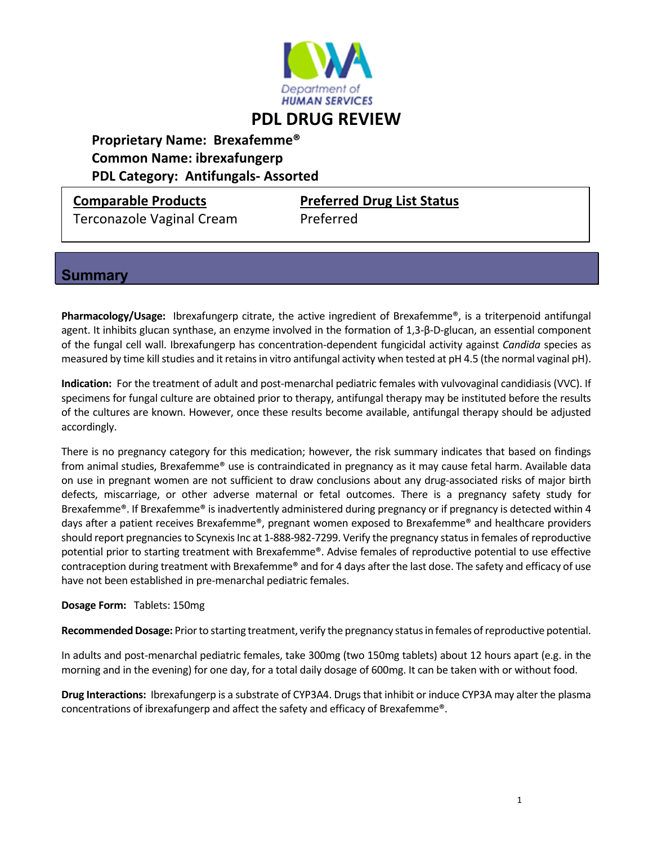

# **Proprietary Name: Brexafemme® Common Name: ibrexafungerp**

 **PDL Category: Antifungals‐ Assorted**

Terconazole Vaginal Cream Preferred

**Comparable Products Preferred Drug List Status**

# **Summary**

Pharmacology/Usage: Ibrexafungerp citrate, the active ingredient of Brexafemme®, is a triterpenoid antifungal agent. It inhibits glucan synthase, an enzyme involved in the formation of 1,3‐β‐D‐glucan, an essential component of the fungal cell wall. Ibrexafungerp has concentration‐dependent fungicidal activity against *Candida* species as measured by time kill studies and it retains in vitro antifungal activity when tested at pH 4.5 (the normal vaginal pH).

Indication: For the treatment of adult and post-menarchal pediatric females with vulvovaginal candidiasis (VVC). If specimens for fungal culture are obtained prior to therapy, antifungal therapy may be instituted before the results of the cultures are known. However, once these results become available, antifungal therapy should be adjusted accordingly.

There is no pregnancy category for this medication; however, the risk summary indicates that based on findings from animal studies, Brexafemme® use is contraindicated in pregnancy as it may cause fetal harm. Available data on use in pregnant women are not sufficient to draw conclusions about any drug‐associated risks of major birth defects, miscarriage, or other adverse maternal or fetal outcomes. There is a pregnancy safety study for Brexafemme®. If Brexafemme® is inadvertently administered during pregnancy or if pregnancy is detected within 4 days after a patient receives Brexafemme®, pregnant women exposed to Brexafemme® and healthcare providers should report pregnancies to Scynexis Inc at 1-888-982-7299. Verify the pregnancy status in females of reproductive potential prior to starting treatment with Brexafemme®. Advise females of reproductive potential to use effective contraception during treatment with Brexafemme® and for 4 days after the last dose. The safety and efficacy of use have not been established in pre‐menarchal pediatric females.

### **Dosage Form:** Tablets: 150mg

Recommended Dosage: Prior to starting treatment, verify the pregnancy status in females of reproductive potential.

In adults and post‐menarchal pediatric females, take 300mg (two 150mg tablets) about 12 hours apart (e.g. in the morning and in the evening) for one day, for a total daily dosage of 600mg. It can be taken with or without food.

**Drug Interactions:** Ibrexafungerp is a substrate of CYP3A4. Drugsthat inhibit or induce CYP3A may alter the plasma concentrations of ibrexafungerp and affect the safety and efficacy of Brexafemme®.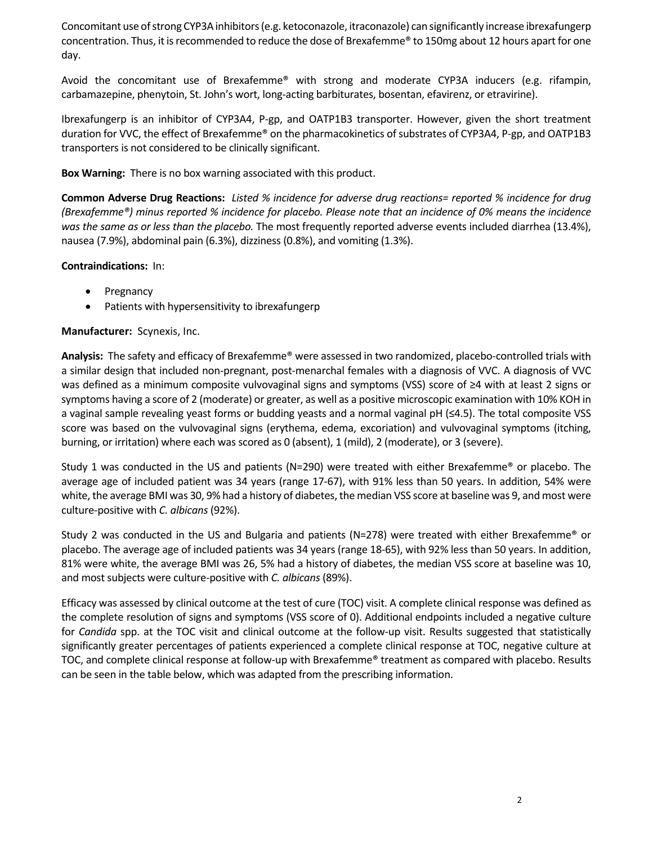Concomitant use of strong CYP3A inhibitors (e.g. ketoconazole, itraconazole) can significantly increase ibrexafungerp concentration. Thus, it isrecommended to reduce the dose of Brexafemme® to 150mg about 12 hours apart for one day.

Avoid the concomitant use of Brexafemme® with strong and moderate CYP3A inducers (e.g. rifampin, carbamazepine, phenytoin, St. John's wort, long-acting barbiturates, bosentan, efavirenz, or etravirine).

Ibrexafungerp is an inhibitor of CYP3A4, P‐gp, and OATP1B3 transporter. However, given the short treatment duration for VVC, the effect of Brexafemme® on the pharmacokinetics of substrates of CYP3A4, P-gp, and OATP1B3 transporters is not considered to be clinically significant.

**Box Warning:** There is no box warning associated with this product.

Common Adverse Drug Reactions: Listed % incidence for adverse drug reactions= reported % incidence for drug (Brexafemme®) minus reported % incidence for placebo. Please note that an incidence of 0% means the incidence *was the same as or less than the placebo.* The most frequently reported adverse events included diarrhea (13.4%), nausea (7.9%), abdominal pain (6.3%), dizziness (0.8%), and vomiting (1.3%).

#### **Contraindications:** In:

- Pregnancy
- Patients with hypersensitivity to ibrexafungerp

### **Manufacturer:** Scynexis, Inc.

**Analysis:** The safety and efficacy of Brexafemme® were assessed in two randomized, placebo‐controlled trials with a similar design that included non-pregnant, post-menarchal females with a diagnosis of VVC. A diagnosis of VVC was defined as a minimum composite vulvovaginal signs and symptoms (VSS) score of ≥4 with at least 2 signs or symptoms having a score of 2 (moderate) or greater, as well as a positive microscopic examination with 10% KOH in a vaginal sample revealing yeast forms or budding yeasts and a normal vaginal pH (≤4.5). The total composite VSS score was based on the vulvovaginal signs (erythema, edema, excoriation) and vulvovaginal symptoms (itching, burning, or irritation) where each was scored as 0 (absent), 1 (mild), 2 (moderate), or 3 (severe).

Study 1 was conducted in the US and patients (N=290) were treated with either Brexafemme® or placebo. The average age of included patient was 34 years (range 17‐67), with 91% less than 50 years. In addition, 54% were white, the average BMI was 30, 9% had a history of diabetes, the median VSS score at baseline was 9, and most were culture‐positive with *C. albicans* (92%).

Study 2 was conducted in the US and Bulgaria and patients (N=278) were treated with either Brexafemme<sup>®</sup> or placebo. The average age of included patients was 34 years (range 18‐65), with 92% less than 50 years. In addition, 81% were white, the average BMI was 26, 5% had a history of diabetes, the median VSS score at baseline was 10, and most subjects were culture-positive with *C. albicans* (89%).

Efficacy was assessed by clinical outcome at the test of cure (TOC) visit. A complete clinical response was defined as the complete resolution of signs and symptoms (VSS score of 0). Additional endpoints included a negative culture for *Candida* spp. at the TOC visit and clinical outcome at the follow-up visit. Results suggested that statistically significantly greater percentages of patients experienced a complete clinical response at TOC, negative culture at TOC, and complete clinical response at follow-up with Brexafemme® treatment as compared with placebo. Results can be seen in the table below, which was adapted from the prescribing information.